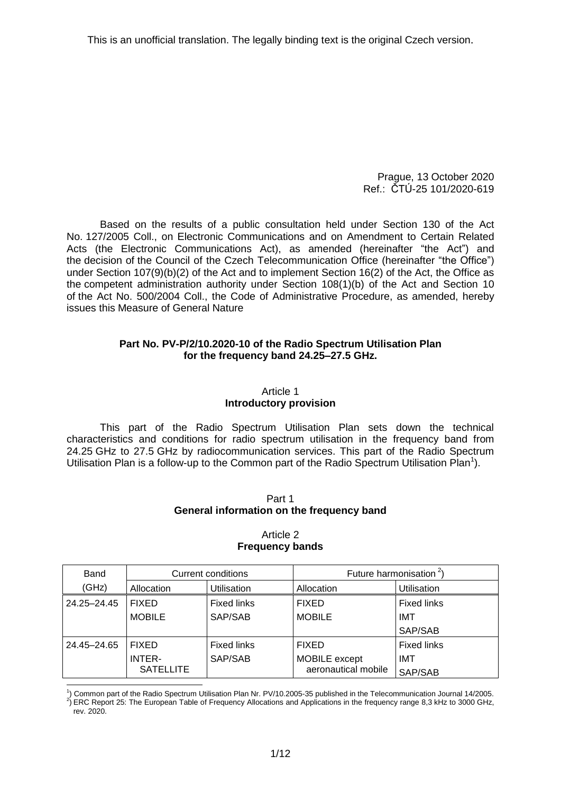Prague, 13 October 2020 Ref.: ČTÚ-25 101/2020-619

Based on the results of a public consultation held under Section 130 of the Act No. 127/2005 Coll., on Electronic Communications and on Amendment to Certain Related Acts (the Electronic Communications Act), as amended (hereinafter "the Act") and the decision of the Council of the Czech Telecommunication Office (hereinafter "the Office") under Section 107(9)(b)(2) of the Act and to implement Section 16(2) of the Act, the Office as the competent administration authority under Section 108(1)(b) of the Act and Section 10 of the Act No. 500/2004 Coll., the Code of Administrative Procedure, as amended, hereby issues this Measure of General Nature

### **Part No. PV-P/2/10.2020-10 of the Radio Spectrum Utilisation Plan for the frequency band 24.25–27.5 GHz.**

## Article 1 **Introductory provision**

This part of the Radio Spectrum Utilisation Plan sets down the technical characteristics and conditions for radio spectrum utilisation in the frequency band from 24.25 GHz to 27.5 GHz by radiocommunication services. This part of the Radio Spectrum Utilisation Plan is a follow-up to the Common part of the Radio Spectrum Utilisation Plan<sup>1</sup>).

#### Part 1 **General information on the frequency band**

| Band        | <b>Current conditions</b> |                    | Future harmonisation $2$ |                    |
|-------------|---------------------------|--------------------|--------------------------|--------------------|
| (GHz)       | Allocation                | <b>Utilisation</b> | Allocation               | Utilisation        |
| 24.25-24.45 | <b>FIXED</b>              | <b>Fixed links</b> | <b>FIXED</b>             | <b>Fixed links</b> |
|             | <b>MOBILE</b>             | SAP/SAB            | <b>MOBILE</b>            | IMT                |
|             |                           |                    |                          | SAP/SAB            |
| 24.45-24.65 | <b>FIXED</b>              | <b>Fixed links</b> | <b>FIXED</b>             | <b>Fixed links</b> |
|             | <b>INTER-</b>             | SAP/SAB            | MOBILE except            | IMT                |
|             | <b>SATELLITE</b>          |                    | aeronautical mobile      | SAP/SAB            |

<span id="page-0-0"></span>Article 2 **Frequency bands**

-1 ) Common part of the Radio Spectrum Utilisation Plan Nr. PV/10.2005-35 published in the Telecommunication Journal 14/2005.

 $^{2}$ ) ERC Report 25: The European Table of Frequency Allocations and Applications in the frequency range 8,3 kHz to 3000 GHz, rev. 2020.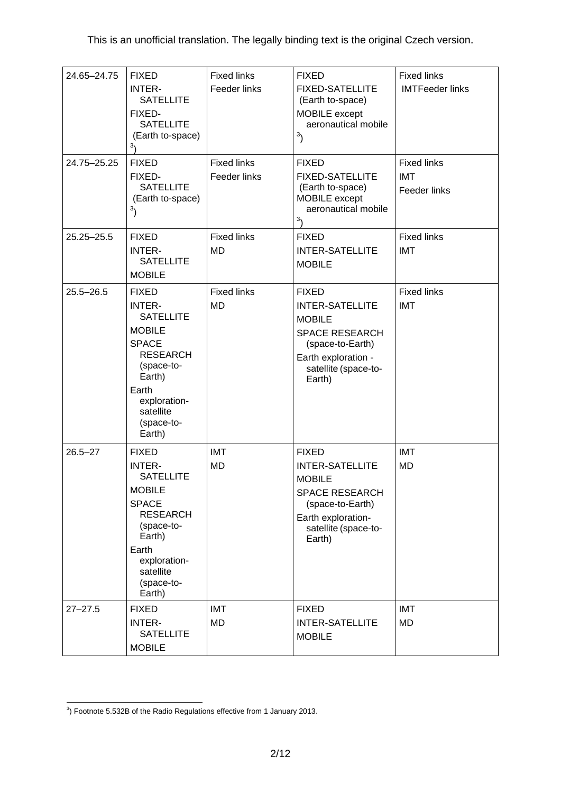<span id="page-1-0"></span>

| 24.65-24.75   | <b>FIXED</b><br><b>INTER-</b><br><b>SATELLITE</b><br>FIXED-<br><b>SATELLITE</b><br>(Earth to-space)<br>3۱                                                                                   | <b>Fixed links</b><br>Feeder links | <b>FIXED</b><br><b>FIXED-SATELLITE</b><br>(Earth to-space)<br>MOBILE except<br>aeronautical mobile<br>3 <sub>0</sub>                                          | <b>Fixed links</b><br><b>IMTFeeder links</b> |
|---------------|---------------------------------------------------------------------------------------------------------------------------------------------------------------------------------------------|------------------------------------|---------------------------------------------------------------------------------------------------------------------------------------------------------------|----------------------------------------------|
| 24.75-25.25   | <b>FIXED</b><br>FIXED-<br><b>SATELLITE</b><br>(Earth to-space)<br>3)                                                                                                                        | <b>Fixed links</b><br>Feeder links | <b>FIXED</b><br><b>FIXED-SATELLITE</b><br>(Earth to-space)<br>MOBILE except<br>aeronautical mobile<br>3 <sub>1</sub>                                          | <b>Fixed links</b><br>IMT<br>Feeder links    |
| 25.25-25.5    | <b>FIXED</b><br><b>INTER-</b><br><b>SATELLITE</b><br><b>MOBILE</b>                                                                                                                          | <b>Fixed links</b><br><b>MD</b>    | <b>FIXED</b><br><b>INTER-SATELLITE</b><br><b>MOBILE</b>                                                                                                       | <b>Fixed links</b><br><b>IMT</b>             |
| $25.5 - 26.5$ | <b>FIXED</b><br><b>INTER-</b><br><b>SATELLITE</b><br><b>MOBILE</b><br><b>SPACE</b><br><b>RESEARCH</b><br>(space-to-<br>Earth)<br>Earth<br>exploration-<br>satellite<br>(space-to-<br>Earth) | <b>Fixed links</b><br><b>MD</b>    | <b>FIXED</b><br><b>INTER-SATELLITE</b><br><b>MOBILE</b><br><b>SPACE RESEARCH</b><br>(space-to-Earth)<br>Earth exploration -<br>satellite (space-to-<br>Earth) | <b>Fixed links</b><br><b>IMT</b>             |
| $26.5 - 27$   | <b>FIXED</b><br><b>INTER-</b><br><b>SATELLITE</b><br><b>MOBILE</b><br><b>SPACE</b><br><b>RESEARCH</b><br>(space-to-<br>Earth)<br>Earth<br>exploration-<br>satellite<br>(space-to-<br>Earth) | <b>IMT</b><br><b>MD</b>            | <b>FIXED</b><br><b>INTER-SATELLITE</b><br><b>MOBILE</b><br><b>SPACE RESEARCH</b><br>(space-to-Earth)<br>Earth exploration-<br>satellite (space-to-<br>Earth)  | <b>IMT</b><br><b>MD</b>                      |
| $27 - 27.5$   | <b>FIXED</b><br><b>INTER-</b><br><b>SATELLITE</b><br><b>MOBILE</b>                                                                                                                          | <b>IMT</b><br><b>MD</b>            | <b>FIXED</b><br><b>INTER-SATELLITE</b><br><b>MOBILE</b>                                                                                                       | <b>IMT</b><br><b>MD</b>                      |

 3 ) Footnote 5.532B of the Radio Regulations effective from 1 January 2013.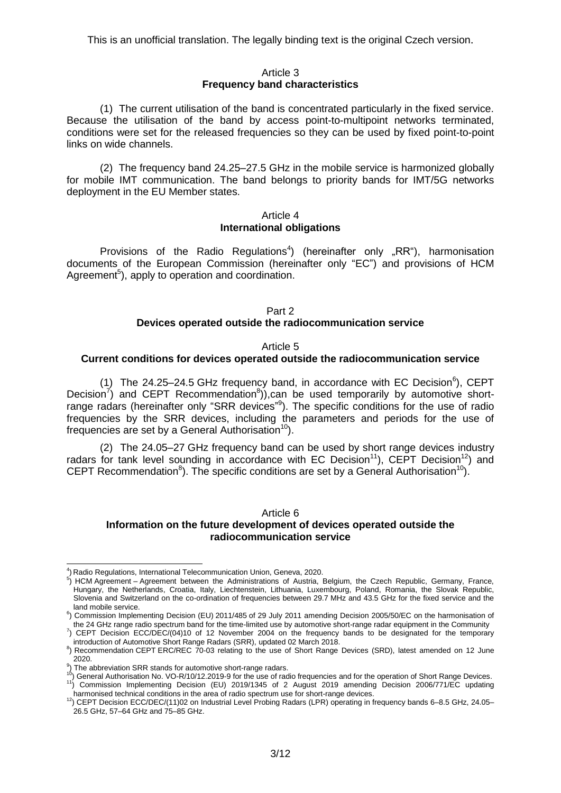#### Article 3 **Frequency band characteristics**

(1) The current utilisation of the band is concentrated particularly in the fixed service. Because the utilisation of the band by access point-to-multipoint networks terminated, conditions were set for the released frequencies so they can be used by fixed point-to-point links on wide channels.

(2) The frequency band 24.25–27.5 GHz in the mobile service is harmonized globally for mobile IMT communication. The band belongs to priority bands for IMT/5G networks deployment in the EU Member states.

#### Article 4 **International obligations**

Provisions of the Radio Regulations<sup>4</sup>) (hereinafter only "RR"), harmonisation documents of the European Commission (hereinafter only "EC") and provisions of HCM Agreement<sup>5</sup>), apply to operation and coordination.

#### Part 2 **Devices operated outside the radiocommunication service**

<span id="page-2-2"></span><span id="page-2-1"></span><span id="page-2-0"></span>Article 5

## **Current conditions for devices operated outside the radiocommunication service**

(1) The 24.25–24.5 GHz frequency band, in accordance with EC Decision<sup>6</sup>), CEPT Decision<sup>7</sup>) and CEPT Recommendation<sup>8</sup>)),can be used temporarily by automotive shortrange radars (hereinafter only "SRR devices"<sup>9</sup>). The specific conditions for the use of radio frequencies by the SRR devices, including the parameters and periods for the use of frequencies are set by a General Authorisation<sup>10</sup>).

(2) The 24.05–27 GHz frequency band can be used by short range devices industry radars for tank level sounding in accordance with EC Decision<sup>11</sup>), CEPT Decision<sup>12</sup>) and CEPT Recommendation<sup>8</sup>[\)](#page-2-0). The specific conditions are set by a General Authorisation<sup>[10](#page-2-1)</sup>).

#### Article 6 **Information on the future development of devices operated outside the radiocommunication service**

 $\overline{a}$ 4 ) Radio Regulations, International Telecommunication Union, Geneva, 2020.

<sup>&</sup>lt;sup>5</sup>) HCM Agreement – Agreement between the Administrations of Austria, Belgium, the Czech Republic, Germany, France, Hungary, the Netherlands, Croatia, Italy, Liechtenstein, Lithuania, Luxembourg, Poland, Romania, the Slovak Republic, Slovenia and Switzerland on the co-ordination of frequencies between 29.7 MHz and 43.5 GHz for the fixed service and the land mobile service.

<sup>&</sup>lt;sup>6</sup>) Commission Implementing Decision (EU) 2011/485 of 29 July 2011 amending Decision 2005/50/EC on the harmonisation of the 24 GHz range radio spectrum band for the time-limited use by automotive short-range radar equipment in the Community

 $^7$ ) CEPT Decision ECC/DEC/(04)10 of 12 November 2004 on the frequency bands to be designated for the temporary introduction of Automotive Short Range Radars (SRR), updated 02 March 2018.

<sup>&</sup>lt;sup>8</sup>) Recommendation CEPT ERC/REC 70-03 relating to the use of Short Range Devices (SRD), latest amended on 12 June 2020.

<sup>&</sup>lt;sup>9</sup>) The abbreviation SRR stands for automotive short-range radars.<br><sup>10</sup>) General Authorisation No. VO-R/10/12.2019-9 for the use of radio frequencies and for the operation of Short Range Devices. <sup>11</sup>) Commission Implementing Decision (EU) 2019/1345 of 2 August 2019 amending Decision 2006/771/EC updating harmonised technical conditions in the area of radio spectrum use for short-range devices.

<sup>12)</sup> CEPT Decision ECC/DEC/(11)02 on Industrial Level Probing Radars (LPR) operating in frequency bands 6–8.5 GHz, 24.05–  $26.5$  GHz, 57–64 GHz and  $75-85$  GHz.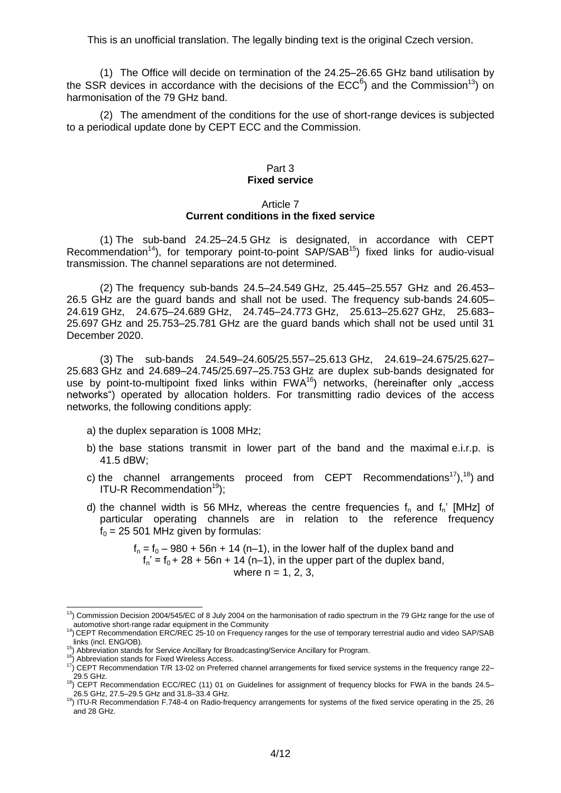(1) The Office will decide on termination of the 24.25–26.65 GHz band utilisation by the SSR devices in accordance with the decisions of the ECC<sup>[6](#page-2-2)</sup>) and the Commission<sup>13</sup>) on harmonisation of the 79 GHz band.

(2) The amendment of the conditions for the use of short-range devices is subjected to a periodical update done by CEPT ECC and the Commission.

#### Part 3 **Fixed service**

#### Article 7 **Current conditions in the fixed service**

(1) The sub-band 24.25–24.5 GHz is designated, in accordance with CEPT Recommendation<sup>14</sup>), for temporary point-to-point  $SAP/SAB<sup>15</sup>$  fixed links for audio-visual transmission. The channel separations are not determined.

(2) The frequency sub-bands 24.5–24.549 GHz, 25.445–25.557 GHz and 26.453– 26.5 GHz are the guard bands and shall not be used. The frequency sub-bands 24.605– 24.619 GHz, 24.675–24.689 GHz, 24.745–24.773 GHz, 25.613–25.627 GHz, 25.683– 25.697 GHz and 25.753–25.781 GHz are the guard bands which shall not be used until 31 December 2020.

(3) The sub-bands 24.549–24.605/25.557–25.613 GHz, 24.619–24.675/25.627– 25.683 GHz and 24.689–24.745/25.697–25.753 GHz are duplex sub-bands designated for use by point-to-multipoint fixed links within  $FWA^{16}$ ) networks, (hereinafter only "access networks") operated by allocation holders. For transmitting radio devices of the access networks, the following conditions apply:

- a) the duplex separation is 1008 MHz;
- b) the base stations transmit in lower part of the band and the maximal e.i.r.p. is 41.5 dBW;
- c) the channel arrangements proceed from CEPT Recommendations<sup>17</sup>),<sup>18</sup>) and ITU-R Recommendation $19$ ):
- d) the channel width is 56 MHz, whereas the centre frequencies  $f_n$  and  $f_n$ ' [MHz] of particular operating channels are in relation to the reference frequency  $f_0 = 25 501$  MHz given by formulas:

<span id="page-3-1"></span><span id="page-3-0"></span> $f_n = f_0 - 980 + 56n + 14 (n-1)$ , in the lower half of the duplex band and  $f_n' = f_0 + 28 + 56n + 14 (n-1)$ , in the upper part of the duplex band, where  $n = 1, 2, 3$ .

<sup>1</sup>  $<sup>13</sup>$ ) Commission Decision 2004/545/EC of 8 July 2004 on the harmonisation of radio spectrum in the 79 GHz range for the use of</sup> automotive short-range radar equipment in the Community

<sup>14)</sup> CEPT Recommendation ERC/REC 25-10 on Frequency ranges for the use of temporary terrestrial audio and video SAP/SAB links (incl. ENG/OB).

 $15$ ) Abbreviation stands for Service Ancillary for Broadcasting/Service Ancillary for Program.

<sup>&</sup>lt;sup>16</sup>) Abbreviation stands for Fixed Wireless Access.

<sup>17</sup>) CEPT Recommendation T/R 13-02 on Preferred channel arrangements for fixed service systems in the frequency range 22– 29.5 GHz.

<sup>&</sup>lt;sup>18</sup>) CEPT Recommendation ECC/REC (11) 01 on Guidelines for assignment of frequency blocks for FWA in the bands 24.5– 26.5 GHz, 27.5–29.5 GHz and 31.8–33.4 GHz.

<sup>19)</sup> ITU-R Recommendation F.748-4 on Radio-frequency arrangements for systems of the fixed service operating in the 25, 26 and 28 GHz.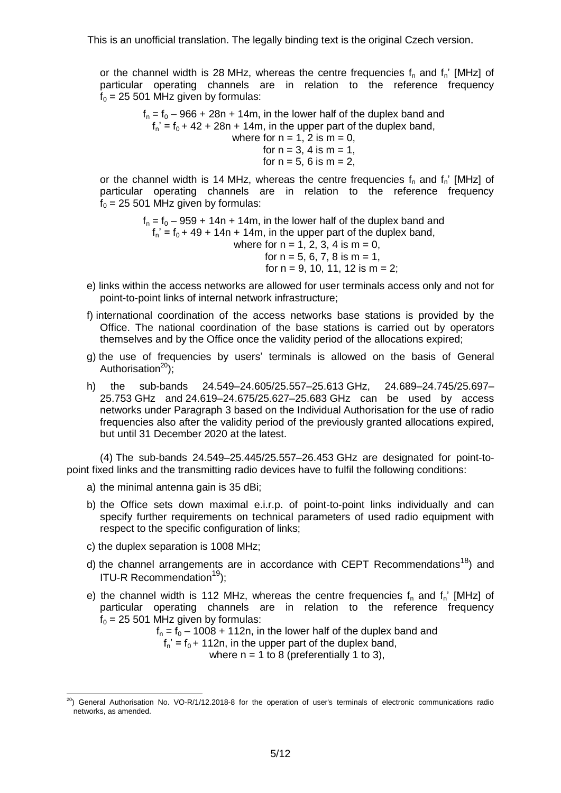or the channel width is 28 MHz, whereas the centre frequencies  $f_n$  and  $f_n'$  [MHz] of particular operating channels are in relation to the reference frequency  $f_0 = 25 501$  MHz given by formulas:

> $f_n = f_0 - 966 + 28n + 14m$ , in the lower half of the duplex band and  $f_n' = f_0 + 42 + 28n + 14m$ , in the upper part of the duplex band, where for  $n = 1$ , 2 is  $m = 0$ , for  $n = 3, 4$  is  $m = 1$ , for  $n = 5$ , 6 is  $m = 2$ ,

or the channel width is 14 MHz, whereas the centre frequencies  $f_n$  and  $f_n$ ' [MHz] of particular operating channels are in relation to the reference frequency  $f<sub>0</sub> = 25 501$  MHz given by formulas:

> $f_n = f_0 - 959 + 14n + 14m$ , in the lower half of the duplex band and  $f_n' = f_0 + 49 + 14n + 14m$ , in the upper part of the duplex band, where for  $n = 1, 2, 3, 4$  is  $m = 0$ , for  $n = 5, 6, 7, 8$  is  $m = 1$ , for  $n = 9, 10, 11, 12$  is  $m = 2$ ;

- e) links within the access networks are allowed for user terminals access only and not for point-to-point links of internal network infrastructure;
- f) international coordination of the access networks base stations is provided by the Office. The national coordination of the base stations is carried out by operators themselves and by the Office once the validity period of the allocations expired;
- g) the use of frequencies by users' terminals is allowed on the basis of General Authorisation $^{20}$ );
- h) the sub-bands 24.549–24.605/25.557–25.613 GHz, 24.689–24.745/25.697– 25.753 GHz and 24.619–24.675/25.627–25.683 GHz can be used by access networks under Paragraph 3 based on the Individual Authorisation for the use of radio frequencies also after the validity period of the previously granted allocations expired, but until 31 December 2020 at the latest.

(4) The sub-bands 24.549–25.445/25.557–26.453 GHz are designated for point-topoint fixed links and the transmitting radio devices have to fulfil the following conditions:

- a) the minimal antenna gain is 35 dBi;
- b) the Office sets down maximal e.i.r.p. of point-to-point links individually and can specify further requirements on technical parameters of used radio equipment with respect to the specific configuration of links;
- c) the duplex separation is 1008 MHz;
- d) the channel arrangements are in accordance with CEPT Recommendations<sup>[18](#page-3-0)</sup>) and ITU-R Recommendation $19$ );
- e) the channel width is 112 MHz, whereas the centre frequencies  $f_n$  and  $f_n$ ' [MHz] of particular operating channels are in relation to the reference frequency  $f<sub>0</sub> = 25 501$  MHz given by formulas:

 $f_n = f_0 - 1008 + 112n$ , in the lower half of the duplex band and

 $f_n' = f_0 + 112n$ , in the upper part of the duplex band,

where  $n = 1$  to 8 (preferentially 1 to 3),

 $\overline{a}$  $^{20}$ ) General Authorisation No. VO-R/1/12.2018-8 for the operation of user's terminals of electronic communications radio networks, as amended.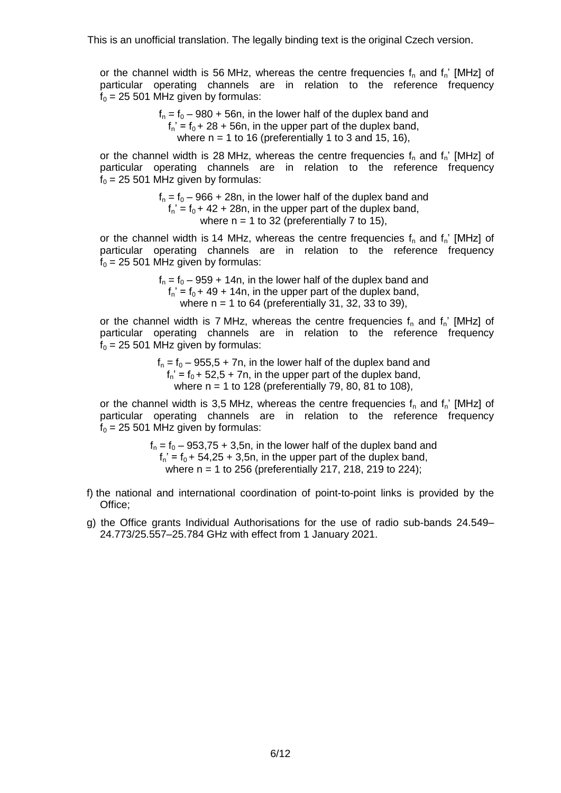or the channel width is 56 MHz, whereas the centre frequencies  $f_n$  and  $f_n'$  [MHz] of particular operating channels are in relation to the reference frequency  $f_0 = 25 501$  MHz given by formulas:

> $f_n = f_0 - 980 + 56n$ , in the lower half of the duplex band and  $f_n' = f_0 + 28 + 56n$ , in the upper part of the duplex band, where  $n = 1$  to 16 (preferentially 1 to 3 and 15, 16),

or the channel width is 28 MHz, whereas the centre frequencies  $f_n$  and  $f_n$ ' [MHz] of particular operating channels are in relation to the reference frequency  $f_0 = 25 501$  MHz given by formulas:

> $f_n = f_0 - 966 + 28n$ , in the lower half of the duplex band and  $f_n' = f_0 + 42 + 28n$ , in the upper part of the duplex band, where  $n = 1$  to 32 (preferentially 7 to 15),

or the channel width is 14 MHz, whereas the centre frequencies  $f_n$  and  $f_n'$  [MHz] of particular operating channels are in relation to the reference frequency  $f<sub>0</sub> = 25 501$  MHz given by formulas:

> $f_n = f_0 - 959 + 14n$ , in the lower half of the duplex band and  $f_n' = f_0 + 49 + 14n$ , in the upper part of the duplex band, where  $n = 1$  to 64 (preferentially 31, 32, 33 to 39),

or the channel width is 7 MHz, whereas the centre frequencies  $f_n$  and  $f_n$ ' [MHz] of particular operating channels are in relation to the reference frequency  $f<sub>0</sub> = 25 501$  MHz given by formulas:

> $f_n = f_0 - 955.5 + 7n$ , in the lower half of the duplex band and  $f_n' = f_0 + 52.5 + 7n$ , in the upper part of the duplex band, where  $n = 1$  to 128 (preferentially 79, 80, 81 to 108),

or the channel width is 3,5 MHz, whereas the centre frequencies  $f_n$  and  $f_n'$  [MHz] of particular operating channels are in relation to the reference frequency  $f<sub>0</sub> = 25 501$  MHz given by formulas:

> $f_n = f_0 - 953,75 + 3,5n$ , in the lower half of the duplex band and  $f_n' = f_0 + 54,25 + 3,5n$ , in the upper part of the duplex band, where n = 1 to 256 (preferentially 217, 218, 219 to 224);

- f) the national and international coordination of point-to-point links is provided by the Office;
- g) the Office grants Individual Authorisations for the use of radio sub-bands 24.549– 24.773/25.557–25.784 GHz with effect from 1 January 2021.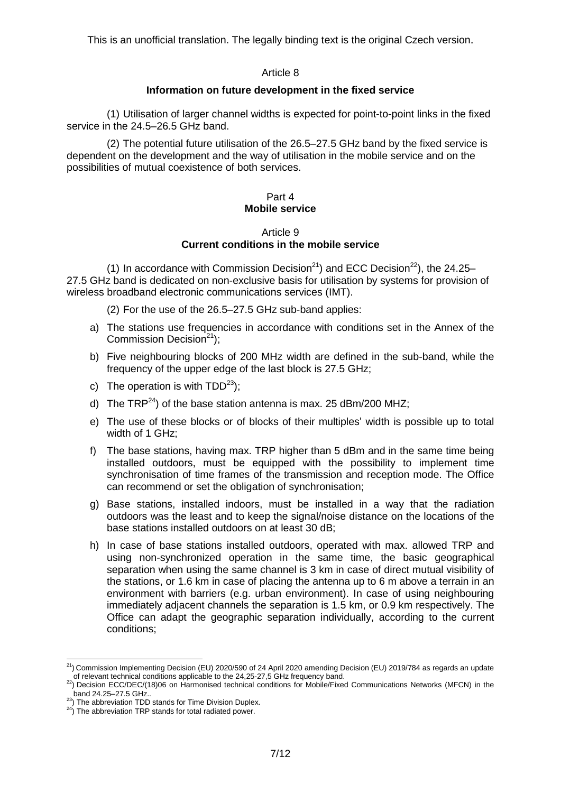#### Article 8

### **Information on future development in the fixed service**

(1) Utilisation of larger channel widths is expected for point-to-point links in the fixed service in the 24.5–26.5 GHz band.

(2) The potential future utilisation of the 26.5–27.5 GHz band by the fixed service is dependent on the development and the way of utilisation in the mobile service and on the possibilities of mutual coexistence of both services.

### <span id="page-6-0"></span>Part 4 **Mobile service**

#### Article 9 **Current conditions in the mobile service**

(1) In accordance with Commission Decision<sup>21</sup>) and ECC Decision<sup>22</sup>), the 24.25– 27.5 GHz band is dedicated on non-exclusive basis for utilisation by systems for provision of wireless broadband electronic communications services (IMT).

(2) For the use of the 26.5–27.5 GHz sub-band applies:

- a) The stations use frequencies in accordance with conditions set in the Annex of the Commission Decision<sup>[21](#page-6-0)</sup>);
- b) Five neighbouring blocks of 200 MHz width are defined in the sub-band, while the frequency of the upper edge of the last block is 27.5 GHz;
- c) The operation is with  $TDD^{23}$ :
- d) The TRP<sup>24</sup>) of the base station antenna is max. 25 dBm/200 MHZ;
- e) The use of these blocks or of blocks of their multiples' width is possible up to total width of 1 GHz;
- f) The base stations, having max. TRP higher than 5 dBm and in the same time being installed outdoors, must be equipped with the possibility to implement time synchronisation of time frames of the transmission and reception mode. The Office can recommend or set the obligation of synchronisation;
- g) Base stations, installed indoors, must be installed in a way that the radiation outdoors was the least and to keep the signal/noise distance on the locations of the base stations installed outdoors on at least 30 dB;
- h) In case of base stations installed outdoors, operated with max. allowed TRP and using non-synchronized operation in the same time, the basic geographical separation when using the same channel is 3 km in case of direct mutual visibility of the stations, or 1.6 km in case of placing the antenna up to 6 m above a terrain in an environment with barriers (e.g. urban environment). In case of using neighbouring immediately adjacent channels the separation is 1.5 km, or 0.9 km respectively. The Office can adapt the geographic separation individually, according to the current conditions;

 $\overline{a}$  $^{21}$ ) Commission Implementing Decision (EU) 2020/590 of 24 April 2020 amending Decision (EU) 2019/784 as regards an update of relevant technical conditions applicable to the 24,25-27,5 GHz frequency band.

<sup>22</sup>) Decision ECC/DEC/(18)06 on Harmonised technical conditions for Mobile/Fixed Communications Networks (MFCN) in the  $\sigma$ band 24.25–27.5 GHz...

 $23$ ) The abbreviation TDD stands for Time Division Duplex.

<sup>&</sup>lt;sup>24</sup>) The abbreviation TRP stands for total radiated power.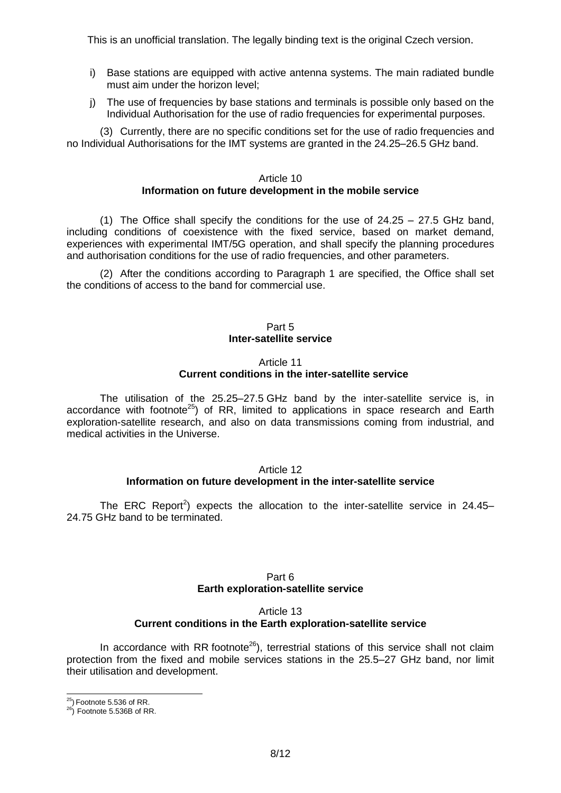- i) Base stations are equipped with active antenna systems. The main radiated bundle must aim under the horizon level;
- j) The use of frequencies by base stations and terminals is possible only based on the Individual Authorisation for the use of radio frequencies for experimental purposes.

(3) Currently, there are no specific conditions set for the use of radio frequencies and no Individual Authorisations for the IMT systems are granted in the 24.25–26.5 GHz band.

#### Article 10 **Information on future development in the mobile service**

(1) The Office shall specify the conditions for the use of  $24.25 - 27.5$  GHz band, including conditions of coexistence with the fixed service, based on market demand, experiences with experimental IMT/5G operation, and shall specify the planning procedures and authorisation conditions for the use of radio frequencies, and other parameters.

(2) After the conditions according to Paragraph 1 are specified, the Office shall set the conditions of access to the band for commercial use.

### Part 5 **Inter-satellite service**

#### Article 11 **Current conditions in the inter-satellite service**

The utilisation of the 25.25–27.5 GHz band by the inter-satellite service is, in accordance with footnote<sup>25</sup>) of RR, limited to applications in space research and Earth exploration-satellite research, and also on data transmissions coming from industrial, and medical activities in the Universe.

#### Article 12 **Information on future development in the inter-satellite service**

The ERC Report<sup>2</sup>[\)](#page-0-0) expects the allocation to the inter-satellite service in 24.45– 24.75 GHz band to be terminated.

## Part 6 **Earth exploration-satellite service**

#### Article 13 **Current conditions in the Earth exploration-satellite service**

In accordance with RR footnote<sup>26</sup>), terrestrial stations of this service shall not claim protection from the fixed and mobile services stations in the 25.5–27 GHz band, nor limit their utilisation and development.

 $\overline{a}$ 

 $^{25}$ ) Footnote 5.536 of RR.

 $^{26}$ ) Footnote 5.536B of RR.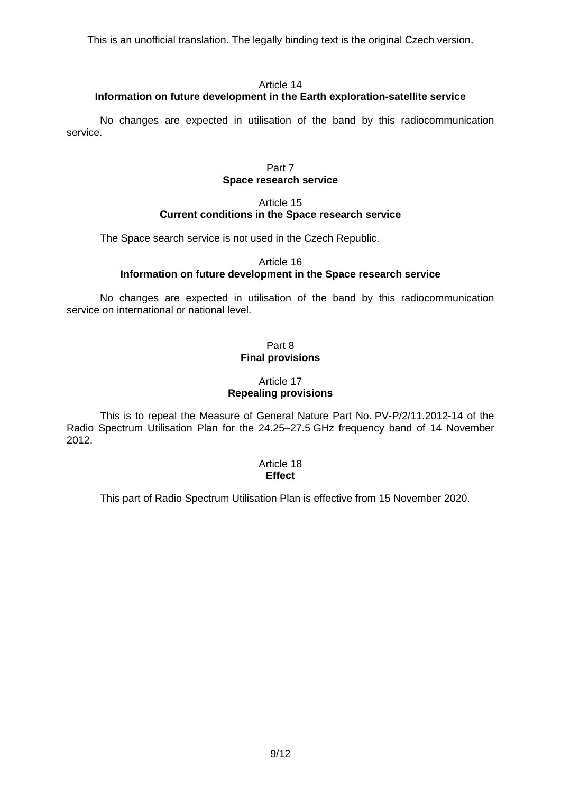### Article 14

# **Information on future development in the Earth exploration-satellite service**

No changes are expected in utilisation of the band by this radiocommunication service.

#### Part 7 **Space research service**

## Article 15 **Current conditions in the Space research service**

The Space search service is not used in the Czech Republic.

## Article 16 **Information on future development in the Space research service**

No changes are expected in utilisation of the band by this radiocommunication service on international or national level.

### Part 8 **Final provisions**

## Article 17 **Repealing provisions**

This is to repeal the Measure of General Nature Part No. PV-P/2/11.2012-14 of the Radio Spectrum Utilisation Plan for the 24.25–27.5 GHz frequency band of 14 November 2012.

## Article 18 **Effect**

This part of Radio Spectrum Utilisation Plan is effective from 15 November 2020.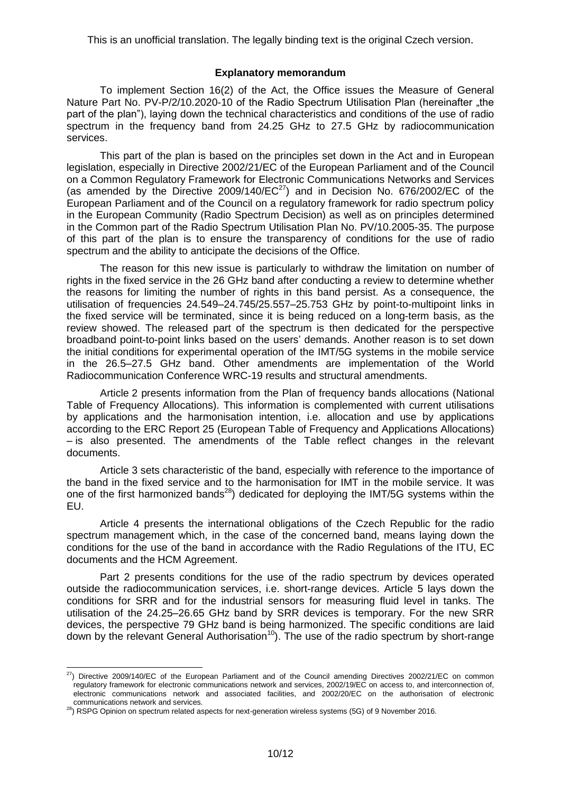### **Explanatory memorandum**

To implement Section 16(2) of the Act, the Office issues the Measure of General Nature Part No. PV-P/2/10.2020-10 of the Radio Spectrum Utilisation Plan (hereinafter "the part of the plan"), laying down the technical characteristics and conditions of the use of radio spectrum in the frequency band from 24.25 GHz to 27.5 GHz by radiocommunication services.

This part of the plan is based on the principles set down in the Act and in European legislation, especially in Directive 2002/21/EC of the European Parliament and of the Council on a Common Regulatory Framework for Electronic Communications Networks and Services (as amended by the Directive 2009/140/ $EC^{27}$ ) and in Decision No. 676/2002/EC of the European Parliament and of the Council on a regulatory framework for radio spectrum policy in the European Community (Radio Spectrum Decision) as well as on principles determined in the Common part of the Radio Spectrum Utilisation Plan No. PV/10.2005-35. The purpose of this part of the plan is to ensure the transparency of conditions for the use of radio spectrum and the ability to anticipate the decisions of the Office.

The reason for this new issue is particularly to withdraw the limitation on number of rights in the fixed service in the 26 GHz band after conducting a review to determine whether the reasons for limiting the number of rights in this band persist. As a consequence, the utilisation of frequencies 24.549–24.745/25.557–25.753 GHz by point-to-multipoint links in the fixed service will be terminated, since it is being reduced on a long-term basis, as the review showed. The released part of the spectrum is then dedicated for the perspective broadband point-to-point links based on the users' demands. Another reason is to set down the initial conditions for experimental operation of the IMT/5G systems in the mobile service in the 26.5–27.5 GHz band. Other amendments are implementation of the World Radiocommunication Conference WRC-19 results and structural amendments.

Article 2 presents information from the Plan of frequency bands allocations (National Table of Frequency Allocations). This information is complemented with current utilisations by applications and the harmonisation intention, i.e. allocation and use by applications according to the ERC Report 25 (European Table of Frequency and Applications Allocations) – is also presented. The amendments of the Table reflect changes in the relevant documents.

Article 3 sets characteristic of the band, especially with reference to the importance of the band in the fixed service and to the harmonisation for IMT in the mobile service. It was one of the first harmonized bands<sup>28</sup>) dedicated for deploying the IMT/5G systems within the EU.

Article 4 presents the international obligations of the Czech Republic for the radio spectrum management which, in the case of the concerned band, means laying down the conditions for the use of the band in accordance with the Radio Regulations of the ITU, EC documents and the HCM Agreement.

Part 2 presents conditions for the use of the radio spectrum by devices operated outside the radiocommunication services, i.e. short-range devices. Article 5 lays down the conditions for SRR and for the industrial sensors for measuring fluid level in tanks. The utilisation of the 24.25–26.65 GHz band by SRR devices is temporary. For the new SRR devices, the perspective 79 GHz band is being harmonized. The specific conditions are laid down by the relevant General Authorisation<sup>[10](#page-2-1)</sup>). The use of the radio spectrum by short-range

<sup>-</sup> $^{27}$ ) Directive 2009/140/EC of the European Parliament and of the Council amending Directives 2002/21/EC on common regulatory framework for electronic communications network and services, 2002/19/EC on access to, and interconnection of, electronic communications network and associated facilities, and 2002/20/EC on the authorisation of electronic communications network and services.

<sup>28</sup>) RSPG Opinion on spectrum related aspects for next-generation wireless systems (5G) of 9 November 2016.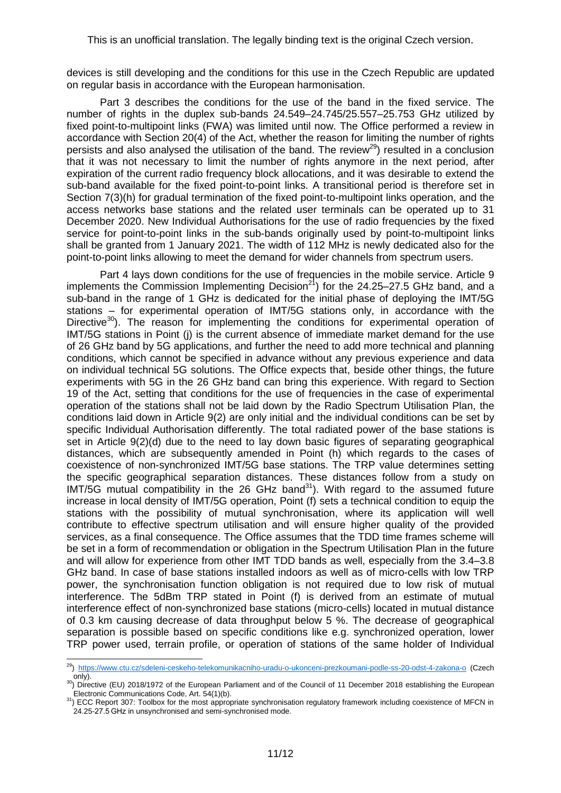devices is still developing and the conditions for this use in the Czech Republic are updated on regular basis in accordance with the European harmonisation.

Part 3 describes the conditions for the use of the band in the fixed service. The number of rights in the duplex sub-bands 24.549–24.745/25.557–25.753 GHz utilized by fixed point-to-multipoint links (FWA) was limited until now. The Office performed a review in accordance with Section 20(4) of the Act, whether the reason for limiting the number of rights persists and also analysed the utilisation of the band. The review<sup>29</sup>) resulted in a conclusion that it was not necessary to limit the number of rights anymore in the next period, after expiration of the current radio frequency block allocations, and it was desirable to extend the sub-band available for the fixed point-to-point links. A transitional period is therefore set in Section 7(3)(h) for gradual termination of the fixed point-to-multipoint links operation, and the access networks base stations and the related user terminals can be operated up to 31 December 2020. New Individual Authorisations for the use of radio frequencies by the fixed service for point-to-point links in the sub-bands originally used by point-to-multipoint links shall be granted from 1 January 2021. The width of 112 MHz is newly dedicated also for the point-to-point links allowing to meet the demand for wider channels from spectrum users.

Part 4 lays down conditions for the use of frequencies in the mobile service. Article 9 implements the Commission Implementing Decision<sup>[21](#page-6-0)</sup>) for the 24.25–27.5 GHz band, and a sub-band in the range of 1 GHz is dedicated for the initial phase of deploying the IMT/5G stations – for experimental operation of IMT/5G stations only, in accordance with the Directive<sup>30</sup>). The reason for implementing the conditions for experimental operation of IMT/5G stations in Point (j) is the current absence of immediate market demand for the use of 26 GHz band by 5G applications, and further the need to add more technical and planning conditions, which cannot be specified in advance without any previous experience and data on individual technical 5G solutions. The Office expects that, beside other things, the future experiments with 5G in the 26 GHz band can bring this experience. With regard to Section 19 of the Act, setting that conditions for the use of frequencies in the case of experimental operation of the stations shall not be laid down by the Radio Spectrum Utilisation Plan, the conditions laid down in Article 9(2) are only initial and the individual conditions can be set by specific Individual Authorisation differently. The total radiated power of the base stations is set in Article 9(2)(d) due to the need to lay down basic figures of separating geographical distances, which are subsequently amended in Point (h) which regards to the cases of coexistence of non-synchronized IMT/5G base stations. The TRP value determines setting the specific geographical separation distances. These distances follow from a study on  $IMT/5G$  mutual compatibility in the 26 GHz band<sup>31</sup>). With regard to the assumed future increase in local density of IMT/5G operation, Point (f) sets a technical condition to equip the stations with the possibility of mutual synchronisation, where its application will well contribute to effective spectrum utilisation and will ensure higher quality of the provided services, as a final consequence. The Office assumes that the TDD time frames scheme will be set in a form of recommendation or obligation in the Spectrum Utilisation Plan in the future and will allow for experience from other IMT TDD bands as well, especially from the 3.4–3.8 GHz band. In case of base stations installed indoors as well as of micro-cells with low TRP power, the synchronisation function obligation is not required due to low risk of mutual interference. The 5dBm TRP stated in Point (f) is derived from an estimate of mutual interference effect of non-synchronized base stations (micro-cells) located in mutual distance of 0.3 km causing decrease of data throughput below 5 %. The decrease of geographical separation is possible based on specific conditions like e.g. synchronized operation, lower TRP power used, terrain profile, or operation of stations of the same holder of Individual

<span id="page-10-0"></span> $\overline{a}$ <sup>29</sup>) <https://www.ctu.cz/sdeleni-ceskeho-telekomunikacniho-uradu-o-ukonceni-prezkoumani-podle-ss-20-odst-4-zakona-o> (Czech  $\overline{only}$ .

<sup>&</sup>lt;sup>30</sup>) Directive (EU) 2018/1972 of the European Parliament and of the Council of 11 December 2018 establishing the European Electronic Communications Code, Art. 54(1)(b).

<sup>31</sup>) ECC Report 307: Toolbox for the most appropriate synchronisation regulatory framework including coexistence of MFCN in 24.25-27.5 GHz in unsynchronised and semi-synchronised mode.